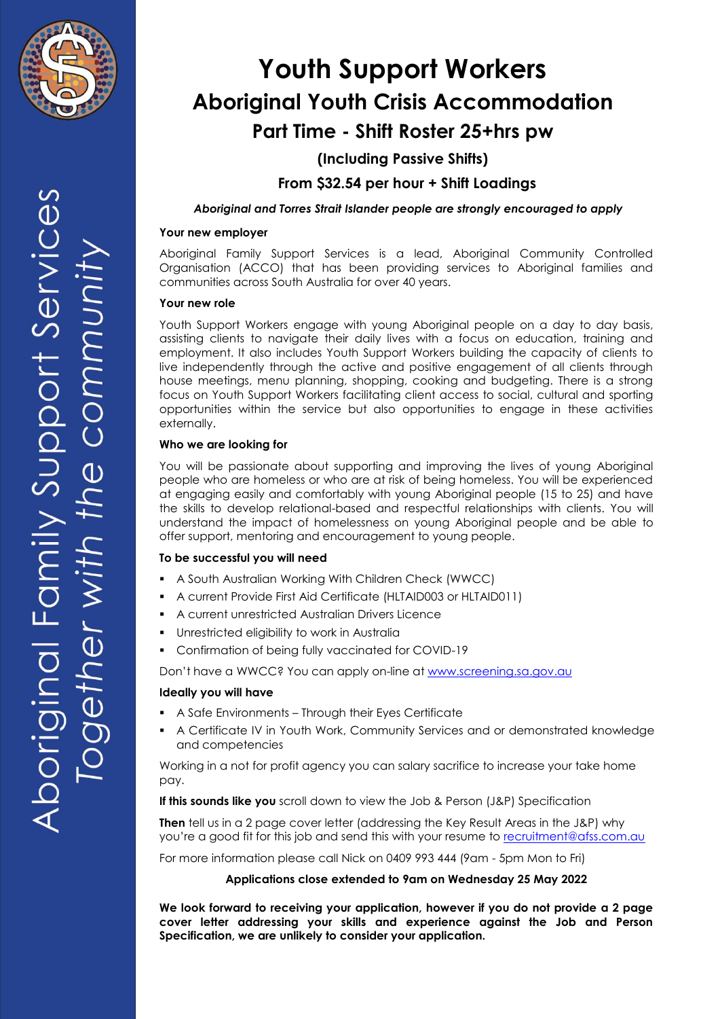

**(Including Passive Shifts)**

**From \$32.54 per hour + Shift Loadings**

*Aboriginal and Torres Strait Islander people are strongly encouraged to apply*

### **Your new employer**

Aboriginal Family Support Services is a lead, Aboriginal Community Controlled Organisation (ACCO) that has been providing services to Aboriginal families and communities across South Australia for over 40 years.

### **Your new role**

Youth Support Workers engage with young Aboriginal people on a day to day basis, assisting clients to navigate their daily lives with a focus on education, training and employment. It also includes Youth Support Workers building the capacity of clients to live independently through the active and positive engagement of all clients through house meetings, menu planning, shopping, cooking and budgeting. There is a strong focus on Youth Support Workers facilitating client access to social, cultural and sporting opportunities within the service but also opportunities to engage in these activities externally.

### **Who we are looking for**

You will be passionate about supporting and improving the lives of young Aboriginal people who are homeless or who are at risk of being homeless. You will be experienced at engaging easily and comfortably with young Aboriginal people (15 to 25) and have the skills to develop relational-based and respectful relationships with clients. You will understand the impact of homelessness on young Aboriginal people and be able to offer support, mentoring and encouragement to young people.

### **To be successful you will need**

- A South Australian Working With Children Check (WWCC)
- A current Provide First Aid Certificate (HLTAID003 or HLTAID011)
- A current unrestricted Australian Drivers Licence
- Unrestricted eligibility to work in Australia
- Confirmation of being fully vaccinated for COVID-19

Don't have a WWCC? You can apply on-line at [www.screening.sa.gov.au](http://www.screening.sa.gov.au/)

### **Ideally you will have**

- A Safe Environments Through their Eyes Certificate
- A Certificate IV in Youth Work, Community Services and or demonstrated knowledge and competencies

Working in a not for profit agency you can salary sacrifice to increase your take home pay.

**If this sounds like you** scroll down to view the Job & Person (J&P) Specification

**Then** tell us in a 2 page cover letter (addressing the Key Result Areas in the J&P) why you're a good fit for this job and send this with your resume to [recruitment@afss.com.au](mailto:recruitment@afss.com.au)

For more information please call Nick on 0409 993 444 (9am - 5pm Mon to Fri)

### **Applications close extended to 9am on Wednesday 25 May 2022**

**We look forward to receiving your application, however if you do not provide a 2 page cover letter addressing your skills and experience against the Job and Person Specification, we are unlikely to consider your application.**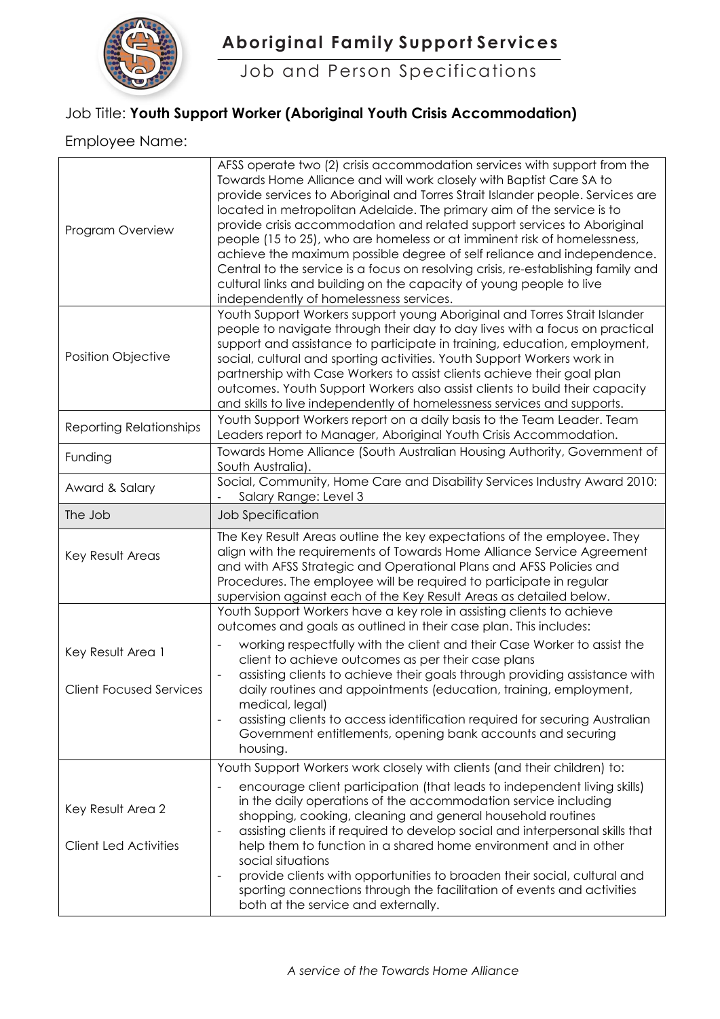

 **Aboriginal Family Support Services**

Job and Person Specifications

## Job Title: **Youth Support Worker (Aboriginal Youth Crisis Accommodation)**

### Employee Name:

| AFSS operate two (2) crisis accommodation services with support from the<br>Towards Home Alliance and will work closely with Baptist Care SA to<br>provide services to Aboriginal and Torres Strait Islander people. Services are<br>located in metropolitan Adelaide. The primary aim of the service is to<br>provide crisis accommodation and related support services to Aboriginal<br>people (15 to 25), who are homeless or at imminent risk of homelessness,<br>achieve the maximum possible degree of self reliance and independence.<br>Central to the service is a focus on resolving crisis, re-establishing family and<br>cultural links and building on the capacity of young people to live<br>independently of homelessness services. |
|-----------------------------------------------------------------------------------------------------------------------------------------------------------------------------------------------------------------------------------------------------------------------------------------------------------------------------------------------------------------------------------------------------------------------------------------------------------------------------------------------------------------------------------------------------------------------------------------------------------------------------------------------------------------------------------------------------------------------------------------------------|
| Youth Support Workers support young Aboriginal and Torres Strait Islander<br>people to navigate through their day to day lives with a focus on practical<br>support and assistance to participate in training, education, employment,<br>social, cultural and sporting activities. Youth Support Workers work in<br>partnership with Case Workers to assist clients achieve their goal plan<br>outcomes. Youth Support Workers also assist clients to build their capacity<br>and skills to live independently of homelessness services and supports.                                                                                                                                                                                               |
| Youth Support Workers report on a daily basis to the Team Leader. Team<br>Leaders report to Manager, Aboriginal Youth Crisis Accommodation.                                                                                                                                                                                                                                                                                                                                                                                                                                                                                                                                                                                                         |
| Towards Home Alliance (South Australian Housing Authority, Government of<br>South Australia).                                                                                                                                                                                                                                                                                                                                                                                                                                                                                                                                                                                                                                                       |
| Social, Community, Home Care and Disability Services Industry Award 2010:<br>Salary Range: Level 3                                                                                                                                                                                                                                                                                                                                                                                                                                                                                                                                                                                                                                                  |
| Job Specification                                                                                                                                                                                                                                                                                                                                                                                                                                                                                                                                                                                                                                                                                                                                   |
| The Key Result Areas outline the key expectations of the employee. They<br>align with the requirements of Towards Home Alliance Service Agreement<br>and with AFSS Strategic and Operational Plans and AFSS Policies and<br>Procedures. The employee will be required to participate in regular<br>supervision against each of the Key Result Areas as detailed below.                                                                                                                                                                                                                                                                                                                                                                              |
| Youth Support Workers have a key role in assisting clients to achieve<br>outcomes and goals as outlined in their case plan. This includes:                                                                                                                                                                                                                                                                                                                                                                                                                                                                                                                                                                                                          |
| working respectfully with the client and their Case Worker to assist the<br>client to achieve outcomes as per their case plans                                                                                                                                                                                                                                                                                                                                                                                                                                                                                                                                                                                                                      |
| assisting clients to achieve their goals through providing assistance with<br>daily routines and appointments (education, training, employment,<br>medical, legal)<br>assisting clients to access identification required for securing Australian<br>Government entitlements, opening bank accounts and securing<br>housing.                                                                                                                                                                                                                                                                                                                                                                                                                        |
| Youth Support Workers work closely with clients (and their children) to:                                                                                                                                                                                                                                                                                                                                                                                                                                                                                                                                                                                                                                                                            |
| encourage client participation (that leads to independent living skills)<br>in the daily operations of the accommodation service including<br>shopping, cooking, cleaning and general household routines<br>assisting clients if required to develop social and interpersonal skills that<br>$\overline{\phantom{a}}$<br>help them to function in a shared home environment and in other<br>social situations<br>provide clients with opportunities to broaden their social, cultural and<br>$\overline{\phantom{a}}$<br>sporting connections through the facilitation of events and activities                                                                                                                                                     |
|                                                                                                                                                                                                                                                                                                                                                                                                                                                                                                                                                                                                                                                                                                                                                     |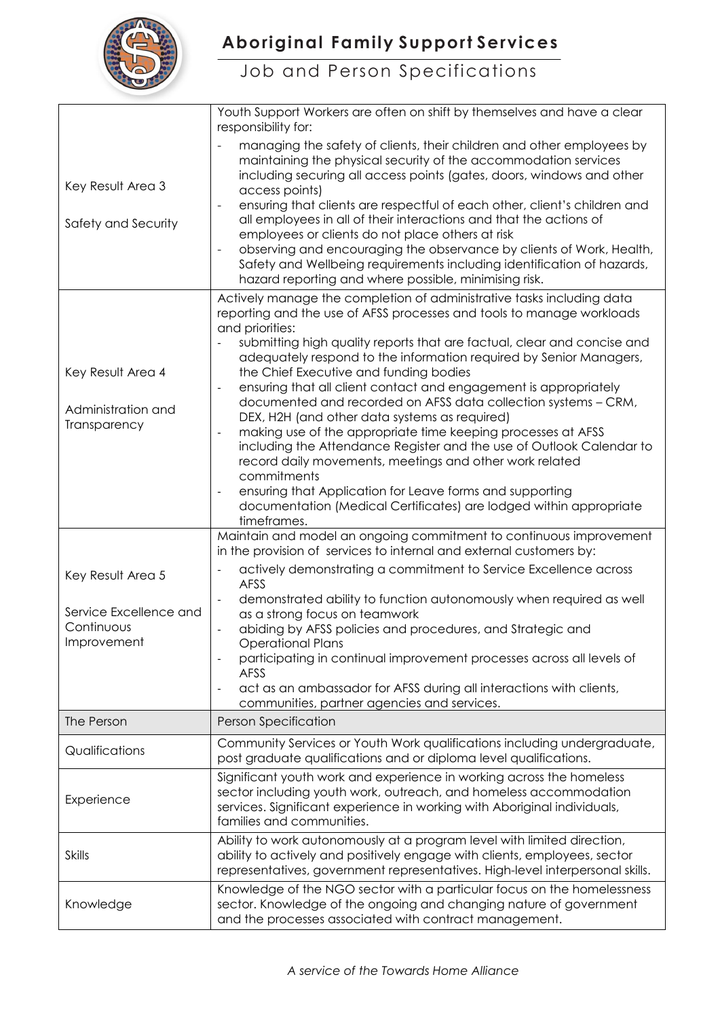

## Job and Person Specifications

|                           | Youth Support Workers are often on shift by themselves and have a clear                                                                                                                                                                                                                                                           |  |  |
|---------------------------|-----------------------------------------------------------------------------------------------------------------------------------------------------------------------------------------------------------------------------------------------------------------------------------------------------------------------------------|--|--|
| Key Result Area 3         | responsibility for:<br>managing the safety of clients, their children and other employees by<br>maintaining the physical security of the accommodation services<br>including securing all access points (gates, doors, windows and other                                                                                          |  |  |
|                           | access points)<br>ensuring that clients are respectful of each other, client's children and                                                                                                                                                                                                                                       |  |  |
| Safety and Security       | all employees in all of their interactions and that the actions of<br>employees or clients do not place others at risk<br>observing and encouraging the observance by clients of Work, Health,<br>Safety and Wellbeing requirements including identification of hazards,<br>hazard reporting and where possible, minimising risk. |  |  |
|                           | Actively manage the completion of administrative tasks including data                                                                                                                                                                                                                                                             |  |  |
|                           | reporting and the use of AFSS processes and tools to manage workloads<br>and priorities:<br>submitting high quality reports that are factual, clear and concise and<br>adequately respond to the information required by Senior Managers,                                                                                         |  |  |
| Key Result Area 4         | the Chief Executive and funding bodies                                                                                                                                                                                                                                                                                            |  |  |
| Administration and        | ensuring that all client contact and engagement is appropriately<br>documented and recorded on AFSS data collection systems - CRM,<br>DEX, H2H (and other data systems as required)                                                                                                                                               |  |  |
| Transparency              | making use of the appropriate time keeping processes at AFSS<br>including the Attendance Register and the use of Outlook Calendar to<br>record daily movements, meetings and other work related<br>commitments                                                                                                                    |  |  |
|                           | ensuring that Application for Leave forms and supporting<br>$\overline{\phantom{a}}$<br>documentation (Medical Certificates) are lodged within appropriate<br>timeframes.                                                                                                                                                         |  |  |
|                           | Maintain and model an ongoing commitment to continuous improvement<br>in the provision of services to internal and external customers by:                                                                                                                                                                                         |  |  |
| Key Result Area 5         | actively demonstrating a commitment to Service Excellence across<br>AFSS                                                                                                                                                                                                                                                          |  |  |
| Service Excellence and    | demonstrated ability to function autonomously when required as well<br>as a strong focus on teamwork                                                                                                                                                                                                                              |  |  |
| Continuous<br>Improvement | abiding by AFSS policies and procedures, and Strategic and<br><b>Operational Plans</b>                                                                                                                                                                                                                                            |  |  |
|                           | participating in continual improvement processes across all levels of<br>AFSS                                                                                                                                                                                                                                                     |  |  |
|                           | act as an ambassador for AFSS during all interactions with clients,<br>$\overline{\phantom{a}}$<br>communities, partner agencies and services.                                                                                                                                                                                    |  |  |
| The Person                | <b>Person Specification</b>                                                                                                                                                                                                                                                                                                       |  |  |
| Qualifications            | Community Services or Youth Work qualifications including undergraduate,<br>post graduate qualifications and or diploma level qualifications.                                                                                                                                                                                     |  |  |
| Experience                | Significant youth work and experience in working across the homeless<br>sector including youth work, outreach, and homeless accommodation<br>services. Significant experience in working with Aboriginal individuals,<br>families and communities.                                                                                |  |  |
| <b>Skills</b>             | Ability to work autonomously at a program level with limited direction,<br>ability to actively and positively engage with clients, employees, sector<br>representatives, government representatives. High-level interpersonal skills.                                                                                             |  |  |
| Knowledge                 | Knowledge of the NGO sector with a particular focus on the homelessness<br>sector. Knowledge of the ongoing and changing nature of government<br>and the processes associated with contract management.                                                                                                                           |  |  |